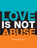

**LINA PARENT'S HANDBOOK**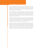## **DEAR PARENT OR CAREGIVER**

Today's young people have access to more information than ever before, and are inundated with often contradictory messages about healthy relationships. They're accustomed to sifting through these messages to consider what is relevant to them, and parents and caregivers are valuable to supporting them in this challenge.

With this challenge in mind, we have created "A Parent's Handbook: How to Talk to Youth about Healthy Relationships." Our goal is to help adults create an environment in which youth can learn the skills to create and foster positive, healthy relationships with peers and dating partners. It is our hope that the application of these skills will help prevent dating abuse and break the cycle of violence.

With the help of this handbook and the love and support of important adults in their lives, youth can build the skills they need to engage in balanced, rewarding and loving relationships. By using some of the techniques and examples found in this handbook, you can establish a strong and lasting foundation for effective communication with your children.

As parents, it is quite common to want to take charge of potentially harmful situation and make what we believe are the best decisions for our children. However, we can ensure that the youths within our life feel both protected and empowered to make informed decisions about their relationships. Finally, it's okay not to have all of the answers. We've provided a list of resources at the end of the handbook to help answer some important questions that might come up as you begin this important conversation.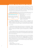## **KNOWING THE RELATIONSHIP SPECTRUM**

As youth enter into more complex and intimate relationships, it is critical that we help them understand that relationships exist on a spectrum. That is, we often have an idea of what is healthy and unhealthy, however; we may lack the words we need to describe those feelings. We have provided some definitions to help you get started, as well as to make sure that everyone is on the same page when using this booklet.

A *healthy relationship* has open and honest communication and an even playing field which partners share power and control over decisions.

#### **Healthy Relationships Involve:**

• Open and honest communication

• Sharing power and control over decisions

 • have equal say • Respecting feelings and boundaries

Partners should…

• respect each other's boundaries

• respect each other's individuality

- feel safe being open and honest
	- be able to share feelings without negative consequences

An *unhealthy relationship* can often be difficult to distinguish from healthy or abusive relationships. A behavior may start out healthy, but can become unhealthy when partners do not communicate their boundaries in relationships and one partner begins to dominate the decision-making.

#### For example:

• Young people use technology more than ever to communicate. Texting a partner can be positive and foster openness in a relationship, as long as each person is comfortable with the amount and type of messages. However, using texts to monitor a partner's whereabouts is an unhealthy behavior.

• Other unhealthy behaviors include putting down a partner because they may make decision you don't agree with, demanding that a partner always put their needs aside to meet your own, and requiring that a partner share their account passwords.

When partners don't discuss such behaviors and do not set boundaries in the relationship, unhealthy behaviors can get worse and may lead to more severe behaviors. We often refer to **dating abuse** as a pattern of abusive behaviors used to exert power and control over a dating partner. Abusive relationships have a power imbalance in which one partner tries to exercise control and power over the other through verbal, emotional, physical and/or sexual abuse.

Dating abuse can include…

- name-calling
- threats of violence and insults
- withholding of money or other resources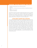# **KNOWING THE RELATIONSHIP SPECTRUM**

- isolating a dating partner from friends and family
- coercion
- violent acts, including forced sexual activities and significant physical injury
- forced sexual activities
- stalking or monitoring

Technology can also be a medium through which abuse can occur. Insulting partner on a social media site, sending threatening text messages, or tampering with a person's email account or other social media accounts can all be a part of dating abuse. Abuse in a relationship can happen to anyone, at any age, no matter what their race, religion, sexual orientation, gender identity, level of education or economic background.

## **A NOTE ABOUT GENDER AND LANGUAGE**

You may have noticed that nowhere in our definitions did we identify boys as abusers and girls as victims. This was intentional. While most of the time violence reported is by men against women, this is by no means the case every time. Girls can abuse boys. Girls can abuse other girls. Boys can abuse girls and boys can abuse other boys. Boys are often bombarded with countless messages instructing them on what it means to "be a man," which often focuses on not being vulnerable, not expressing emotions, and being "tough". These discussions have both excluded men and boys who have been survivors of dating abuse, and have also not proactively engaged them in talking about dating abuse overall. However, we know that it is critical to talk to *all* youth about recognizing abuse and how to build healthy relationships. This includes protecting a young person who is a victim of dating abuse, as well as intervening if your child is perpetrating abuse.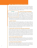## **GET THE CONVERSATION STARTED**

While it's not easy to bring up conversations focused on sex and relationships, communication between a parent and child about these topics is important. The support of trusted adults can impact a young person's confidence, decision-making skills, and even safety. Here are six steps to encourage young people to talk about these difficult issues.

#### **IT'S OKAY…**

If your child is more comfortable talking with an aunt, uncle, family friend or teacher, that's okay. In fact, encourage them to do so and keep in mind that the important thing is having someone to turn to for advice.

#### **1) CREATE AN OPEN ENVIRONMENT**

 Give the young people in your life plenty of opportunities to talk to you about relationships. Avoid criticizing them for having questions, even if they raise ideas that are disturbing to you. Be available to listen. Always remember that big ideas

often begin as little thoughts slipped into the middle of a conversation about something else. For some children, it can be difficult to open up to a parent, so think about what would make you more comfortable if you were in their shoes.

### **2) START THE TALK**

"What do I say first?" "Will this make sense?" "I don't want to offend my child." These are all common thoughts that parents or caregivers may have when starting a difficult conversation with a child. When you feel ready, start the talk in the way that you think is best. Don't get discouraged if it doesn't go well the first time. Consistently open the door for conversation. Most importantly, be patient. It may seem like your child isn't hearing you, but you never know what will work with your child.

### **3) MAKE SURE LOCATION AND TIMING ARE APPROPRIATE**

Always make sure that your child is comfortable with the time and place to have the discussion. While we want to keep the lines of communication with our child open, sometimes the perception that others may hear your discussion can prevent a youth from opening up and talking to you. Think of times when the two of you are alone. For example, talking over lunch on a weekend, starting a conversation on the way to the store, or even bringing the topic up while watching television can all be opportune types to bring up the conversation in a private relaxed setting.

### **4) GIVE YOUR UNDIVIDED ATTENTION**

When you begin to talk, always focus your attention on the conversation. This lets your child know what they have to say is important and valued, and that you are available. If it's a really bad time to talk, schedule another time, but first make sure that waiting is okay with your child.

### **5) THINK OF RELEVANT EXAMPLES**

When possible, use examples that you know your child will understand to illustrate your points. These examples can come from TV, from movies or songs, or from your own experiences with relationships. Keep your ideas clear and be sure that they relate directly back to your example.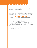# **GET THE CONVERSATION STARTED**

## **6) CHECK-IN OFTEN**

Frequent talks are a great way of communicating, reinforcing your support and letting your kids know that you are interested in their lives. This can also take the pressure off both of you because there will be other opportunities to ask important questions.

## **7) UNDERSTAND THE QUESTION AND ANSWER HONESTLY**

If you're not sure what your child is asking, it's okay to say, "Help me understand." Once you understand the question, answer honestly and assure your child that you can come up with a solution together. Let them guide the conversation to the questions and ideas they'd like to discuss.

## **CONVERSATION STARTERS**

- Choose one couple you know of who you believe has a healthy relationship and one couple who you think has an unhealthy relationship. Why did you pick these couples?
- What's a healthy way to argue? What's an unhealthy way to argue?
- Can you think of a situation in your life where you argue unfairly? What could you have done to make it a fair argument?
- What does it mean to stand up for yourself? When you stand up for yourself, do you think you are being strong or pushy? Why?
- What values do you think are important in friendships? What values do you think are important in dating relationships?
- Whose relationship would you most like yours to be like? Why?
- What should you do if someone you're dating threatens you? What if someone you are dating tells you to keep quiet and not tell anyone, even though you know it is wrong?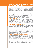# **HAVE HEALTHY CONVERSATIONS ABOUT HEALTHY RELATIONSHIPS**

Having conversations about healthy relationships with an open mind, honesty, and kindness can model healthy ways to work through difficult conversations in the future. Giving your child respect in the conversations you have with them can be a model of good communication in relationships.

## **1) ASSESS YOUR OWN "RELATIONSHIP VALUES" BEFORE YOU TALK TO YOUR KIDS**

We often speak from our own experiences. Take a moment to reflect on your own relationship values. How do you expect your partner to act in your own relationship? How should people behave when they disagree? How do you share decisions making in a relationship? Make sure that you can explain your reasoning and can support it with examples.

### **2) PROVIDE ANOTHER PERSPECTIVE**

Many young people are first exposed to social norms of dating by their peers in the locker room, at slumber parties, or on social media. It is important to take time to understand where your child's opinions about dating are coming from, and give them clear ex¬amples of what is appropriate behavior in a dating relationship.

### **3) TELL THE WHOLE TRUTH...GOOD AND BAD**

It is common for kids to romanticize dating relationships. Support these expectations, but also let them know that all relationships have ups and downs. Stress that regardless of the situation, physical, sexual or emotional abuse is never acceptable. This may be a perfect time to have your children think about what their boundaries are in a relationship, and teach them to assert their boundaries and respect those that their partners set. Don't avoid uncomfortable topics of sex and sexuality, either. Talk to them about what healthy sexuality means to them, and acknowledge that sex (whether they are engaged in it or not) is an integral part of dating and can also be a tool of power and control.

### **4) TEACH ASSERTIVENESS, NOT AGGRESSIVENESS**

One of the best skills parents can teach their kids is to make their feelings known by stating their opinions, desires and reactions clearly. For example, if they don't want to do something within their relationship, they should feel safe to say so. However, they should not take their partner's lack of a 'no' as a 'yes.' Your children should know that if they are ever unsure of what their partner's boundaries are, they should ask. Finally, when there is conflict— if things cannot be settled  $-$  encourage them to always take a break and cool down before feelings get hurt. Model these behaviors in your own relationships, including your relationships with your children.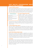# **HAVE HEALTHY CONVERSATIONS ABOUT HEALTHY RELATIONSHIPS**

## **5) TEACH ANGER CONTROL**

Help your kids recognize their personal warn¬ing signs for anger. Do they have clenched fists, gritted teeth, tensed arms and shoulders? Do they name call, withdraw, or say things they don't mean? Teach them ways to calm down and that conflicts are better resolved when both parties feel more even-tempered. Also model this behavior in your own relationships.

#### **Calming Techniques**

- Counting backwards from ten to one
- Deep breathing
- Visualizing a peaceful scene of happy memory
- Reassuring themselves that they are in control of their emotions
- Walking away

### **6) TEACH PROBLEM SOLVING**

Complex problems can be difficult for anyone to solve. Teaching basic problem solving techniques such as identifying an issue, figuring out several different ways in which it can be resolved, considering the consequences of each of the alternatives and discussing their choice is a great way to build these skills. You want to give them all

of the tools they need to feel confident in being able to figure out solutions. Feelings of love, intimacy, and jealousy may be new for young people, so work with them to understand and name their own feelings as a part of problem solving.

## **7) TEACH NEGOTIATION SKILLS**

Help your children understand that compromising and taking turns are positive steps to a healthy relationship and that violence, threats and insults have no place in respectful negotiation. Teach your children to negotiate and acknowledge the situation, as well as communicate their emotions. State each person's point of view hon-estly and discuss options that allow both people to "win."

## **8) HELP RECOGNIZE WARNING SIGNS**

Teach them to recognize that thoughts of aggression are signals of frustration that need to be acknowledged and dealt with. Help young people understand that warning signs of abuse in a relationship are predictors of very serious problems that are very likely to continue and escalate. Point out why warning signs may not be abusive on their own, but can become unhealthy and develop dynamics of power and control over time.

### **9) SHARING**

Young people may wish to keep some parts of their relationship private from adults, and this is okay. Help them understand that secrecy that isolates them from friends and family entirely, however, can be the first sign of manipulation and coercion. Teach your kids that being strong can also mean relying on their support systems, from friends, to parents and teachers, to the police, if necessary.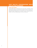# **HAVE HEALTHY CONVERSATIONS ABOUT HEALTHY RELATIONSHIPS**

## **10) BE A ROLE MODEL**

Young people learn by observing those around them, especially trusted adults and role models. It is critical that you respect yourself, your partner, and other people, particularly when you have bumps in your own relationships. Modeling healthy disagreement and problem solving, including with your children, can have a lasting impact on their own behaviors.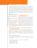## **KEEP THE CONVERSATION GOING**

You may have already had the conversation with your children about dating abuse. They are familiar with all of the definitions and what it means to be in a healthy relationship. However, the conversation doesn't stop there. Keep the lines of communication consistently open with the young people in your life. A youth's ideas, beliefs or circumstances around relationships may change quickly without you knowing it. Keep checking in and make sure that they know you are always available if they want to talk. Here are few additional tips for you to keep in mind as you continue to talk to your children.

#### **Open Communication Tips:**

- Try not to interrupt your partner
- Make every effort to talk face-to face
- Make sure you aren't attacking your partner—use 'I' statement such as 'I feel like \_\_\_\_."
- Pay attention to your body language. Sometimes we aren't aware that the way we move our hands doesn't always reflect how we truly feel
- Tell the truth and be honest

## **1) DISCUSS RELATIONSHIP EXPECTATIONS**

What's the difference between "hooking up" and "going out" or "dating?" How does your teen perceive their peers' relationships? Your teen may have very set notions of gender roles and how people interact when they are dating. You will only find out by asking questions and discussing with your child why they think what they do, and if it's accurate or an over-generalization. If your

child has expectations that are problematic, discuss with them the reasons why what they believe may not lead to healthy relationships, either in their life or with their friends'.

## **2) MAKE SURE THEY MAINTAIN OPEN COMMUNICATION WITH THEIR DATING PARTNER**

Discuss the importance of having open and honest conversations in dating relationships. You can give your child tips to help them foster trust and respect in their relationships. Keep in mind that your child knows their relationship best; go over the suggestions with them and if they feel any of these tips would put them in danger, do not pressure your child to use them.

### **3) RELATIONSHIP BOOSTERS**

Even in healthy relationships there are some ups and downs. You may want to share some tips with your children for how they can re-connect with a partner:

- Talking about what both partners want out of a relationship
- Going on a walk together
- Scheduling a date night
- Making time to be together
- Making time to be apart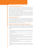## **4) RESPECT BOUNDARIES & PRIVACY.**

Your child may feel that being in a relationship means that they have no secrets, or should be together all the time. While you want to stress truthfulness, honesty and sharing, it should also be emphasized that time away from their partner is important in strengthening trust in the relationship and maintaining their own individual identity.

Healthy boundaries shouldn't restrict their ability to go out with friends without their partner nor should it ever feel like they have to share passwords to e-mail or social media sites, or that they are entitled to their partner's passwords. This also applies to allowing your child to have privacy from you; if they do not feel comfortable telling you things, try to encourage them to talk to other trusted adults in their life.

### **5) RELATE TO YOUR CHILD**

You can help your child by sharing your own experiences, especially the ones you had when you were your child's age. Seeing that you made mistakes or faced similar difficulties may help your child understand that they can also overcome obstacles and that they are not alone. Use examples from your own life, television, movies or music, but try to avoid judgment and stigmatizing people who have experienced abuse.

## **6) DISCUSS WHY PEOPLE STAY IN ABUSIVE RELATIONSHIPS**

Helping your child understand the many reasons why someone might stay in an abusive relationship can be very effective in helping them identify and possibly avoid some of those same barriers to leaving. The reasons why young people might stay in abusive relationships may include, but are not limited to:

- A young person's status, identity, and self-esteem may be intricately linked to their relationship—this can be especially true if they are in school with their dating partner.
- A victim of abuse may want the violence to end, but not the relationship to end.
- Someone experiencing abuse can feel like no one understands the partner perpetrating abuse but them, or vice versa.
- A young person might fear telling their parents about the abuse because their parents don't know that they are dating or because they fear their parents will overreact.
- A young person may not have healthy relationships to compare this to, and may see abusive behavior modeled at home. They may think this is just what "being in love" is like.
- The victim of abuse may worry that their family will be disappointed in them.
- The perpetrator of abuse may threaten to reveal secrets their partner does not want to reveal, such as their partner's sexual orientation or immigration status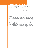# **KEEP THE CONVERSATION GOING**

- The partner perpetrating abuse may threaten to take or keep away a child in common from their partner if they break up.
- The victim of abuse may fear violence or other repercussions from the partner perpetrating abuse, their friends or their family.
- The victim of abuse may want to protect their partner from being involved with police or getting in trouble with school, for fear of ruining their future.

## **7) DON'T JUDGE**

 As a parent, be prepared to discuss your child's dating partners with them. You may not always be happy with the person your child has decided to date or the decisions they make. That is OK. While it is important to have open communication, focus on supporting your child, not judging their partner or behaviors.

- Judging or engaging in any sort of victim blaming can create additional barriers rather than encourage youth to talk to adults about dating abuse. If your child feels as though they are being judged, they may just simply refuse to talk to you about the relationship or more importantly, ask for help.
- Even if you discover that your child's partner is engaging in unhealthy behaviors, don't demonize their partner. Focus on how these behaviors are impacting your child.
- Sex and sexuality are topics that young people often are hesitant to open up to adults about for fear of being judged, but lacking support and resources can leave them vulnerable. Work hard to support healthy sexual decision making while supporting your child's decisions.